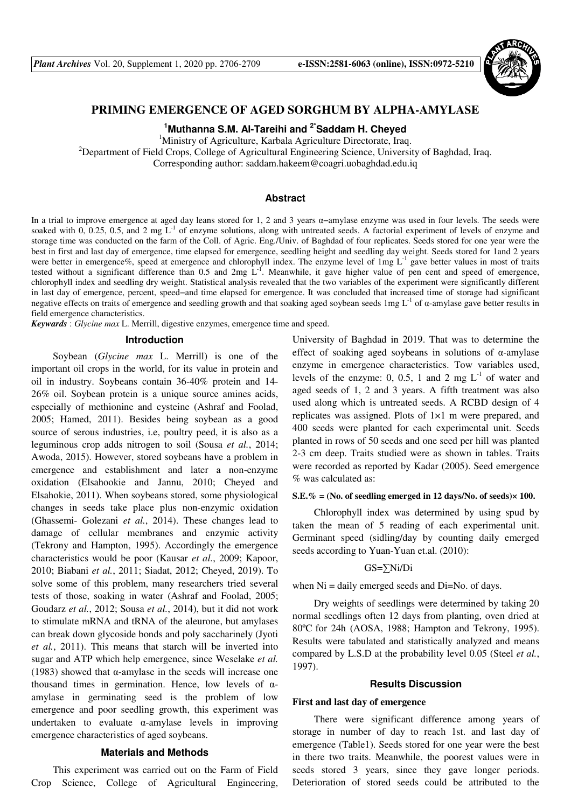

# **PRIMING EMERGENCE OF AGED SORGHUM BY ALPHA-AMYLASE**

**<sup>1</sup>Muthanna S.M. Al-Tareihi and 2\*Saddam H. Cheyed** 

<sup>1</sup>Ministry of Agriculture, Karbala Agriculture Directorate, Iraq.

<sup>2</sup>Department of Field Crops, College of Agricultural Engineering Science, University of Baghdad, Iraq.

Corresponding author: saddam.hakeem@coagri.uobaghdad.edu.iq

### **Abstract**

In a trial to improve emergence at aged day leans stored for 1, 2 and 3 years α−amylase enzyme was used in four levels. The seeds were soaked with  $0, 0.25, 0.5,$  and  $2 \text{ mg } L^{-1}$  of enzyme solutions, along with untreated seeds. A factorial experiment of levels of enzyme and storage time was conducted on the farm of the Coll. of Agric. Eng./Univ. of Baghdad of four replicates. Seeds stored for one year were the best in first and last day of emergence, time elapsed for emergence, seedling height and seedling day weight. Seeds stored for 1and 2 years were better in emergence%, speed at emergence and chlorophyll index. The enzyme level of 1mg L<sup>-1</sup> gave better values in most of traits tested without a significant difference than 0.5 and 2mg  $L^{-1}$ . Meanwhile, it gave higher value of pen cent and speed of emergence, chlorophyll index and seedling dry weight. Statistical analysis revealed that the two variables of the experiment were significantly different in last day of emergence, percent, speed−and time elapsed for emergence. It was concluded that increased time of storage had significant negative effects on traits of emergence and seedling growth and that soaking aged soybean seeds  $1 \text{ mg } L^{-1}$  of  $\alpha$ -amylase gave better results in field emergence characteristics.

*Keywards* : *Glycine max* L. Merrill, digestive enzymes, emergence time and speed.

# **Introduction**

Soybean (*Glycine max* L. Merrill) is one of the important oil crops in the world, for its value in protein and oil in industry. Soybeans contain 36-40% protein and 14- 26% oil. Soybean protein is a unique source amines acids, especially of methionine and cysteine (Ashraf and Foolad, 2005; Hamed, 2011). Besides being soybean as a good source of serous industries, i.e, poultry peed, it is also as a leguminous crop adds nitrogen to soil (Sousa *et al.*, 2014; Awoda, 2015). However, stored soybeans have a problem in emergence and establishment and later a non-enzyme oxidation (Elsahookie and Jannu, 2010; Cheyed and Elsahokie, 2011). When soybeans stored, some physiological changes in seeds take place plus non-enzymic oxidation (Ghassemi- Golezani *et al.*, 2014). These changes lead to damage of cellular membranes and enzymic activity (Tekrony and Hampton, 1995). Accordingly the emergence characteristics would be poor (Kausar *et al.*, 2009; Kapoor, 2010; Biabani *et al.*, 2011; Siadat, 2012; Cheyed, 2019). To solve some of this problem, many researchers tried several tests of those, soaking in water (Ashraf and Foolad, 2005; Goudarz *et al.*, 2012; Sousa *et al.*, 2014), but it did not work to stimulate mRNA and tRNA of the aleurone, but amylases can break down glycoside bonds and poly saccharinely (Jyoti *et al.*, 2011). This means that starch will be inverted into sugar and ATP which help emergence, since Weselake *et al.* (1983) showed that  $\alpha$ -amylase in the seeds will increase one thousand times in germination. Hence, low levels of  $α$ amylase in germinating seed is the problem of low emergence and poor seedling growth, this experiment was undertaken to evaluate α-amylase levels in improving emergence characteristics of aged soybeans.

### **Materials and Methods**

This experiment was carried out on the Farm of Field Crop Science, College of Agricultural Engineering,

University of Baghdad in 2019. That was to determine the effect of soaking aged soybeans in solutions of  $\alpha$ -amylase enzyme in emergence characteristics. Tow variables used, levels of the enzyme: 0, 0.5, 1 and 2 mg  $L^{-1}$  of water and aged seeds of 1, 2 and 3 years. A fifth treatment was also used along which is untreated seeds. A RCBD design of 4 replicates was assigned. Plots of 1×1 m were prepared, and 400 seeds were planted for each experimental unit. Seeds planted in rows of 50 seeds and one seed per hill was planted 2-3 cm deep. Traits studied were as shown in tables. Traits were recorded as reported by Kadar (2005). Seed emergence % was calculated as:

### **S.E.% = (No. of seedling emerged in 12 days/No. of seeds)× 100.**

Chlorophyll index was determined by using spud by taken the mean of 5 reading of each experimental unit. Germinant speed (sidling/day by counting daily emerged seeds according to Yuan-Yuan et.al. (2010):

### GS=∑Ni/Di

when  $Ni =$  daily emerged seeds and  $Di = No$ . of days.

Dry weights of seedlings were determined by taking 20 normal seedlings often 12 days from planting, oven dried at 80ºC for 24h (AOSA, 1988; Hampton and Tekrony, 1995). Results were tabulated and statistically analyzed and means compared by L.S.D at the probability level 0.05 (Steel *et al.*, 1997).

#### **Results Discussion**

#### **First and last day of emergence**

There were significant difference among years of storage in number of day to reach 1st. and last day of emergence (Table1). Seeds stored for one year were the best in there two traits. Meanwhile, the poorest values were in seeds stored 3 years, since they gave longer periods. Deterioration of stored seeds could be attributed to the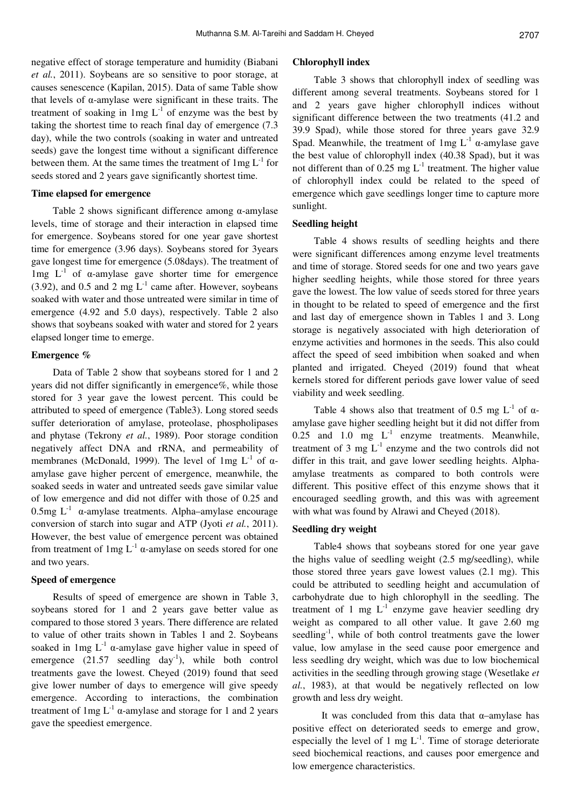negative effect of storage temperature and humidity (Biabani *et al.*, 2011). Soybeans are so sensitive to poor storage, at causes senescence (Kapilan, 2015). Data of same Table show that levels of α-amylase were significant in these traits. The treatment of soaking in  $1mg L<sup>-1</sup>$  of enzyme was the best by taking the shortest time to reach final day of emergence (7.3 day), while the two controls (soaking in water and untreated seeds) gave the longest time without a significant difference between them. At the same times the treatment of  $1mg L<sup>-1</sup>$  for seeds stored and 2 years gave significantly shortest time.

# **Time elapsed for emergence**

Table 2 shows significant difference among  $\alpha$ -amylase levels, time of storage and their interaction in elapsed time for emergence. Soybeans stored for one year gave shortest time for emergence (3.96 days). Soybeans stored for 3years gave longest time for emergence (5.08days). The treatment of lmg  $L^{-1}$  of α-amylase gave shorter time for emergence (3.92), and 0.5 and 2 mg  $L^{-1}$  came after. However, soybeans soaked with water and those untreated were similar in time of emergence (4.92 and 5.0 days), respectively. Table 2 also shows that soybeans soaked with water and stored for 2 years elapsed longer time to emerge.

### **Emergence %**

Data of Table 2 show that soybeans stored for 1 and 2 years did not differ significantly in emergence%, while those stored for 3 year gave the lowest percent. This could be attributed to speed of emergence (Table3). Long stored seeds suffer deterioration of amylase, proteolase, phospholipases and phytase (Tekrony *et al.*, 1989). Poor storage condition negatively affect DNA and rRNA, and permeability of membranes (McDonald, 1999). The level of 1mg  $L^{-1}$  of  $\alpha$ amylase gave higher percent of emergence, meanwhile, the soaked seeds in water and untreated seeds gave similar value of low emergence and did not differ with those of 0.25 and  $0.5$ mg L<sup>-1</sup> α-amylase treatments. Alpha–amylase encourage conversion of starch into sugar and ATP (Jyoti *et al.*, 2011). However, the best value of emergence percent was obtained from treatment of  $1mg L^{-1}$  α-amylase on seeds stored for one and two years.

# **Speed of emergence**

Results of speed of emergence are shown in Table 3, soybeans stored for 1 and 2 years gave better value as compared to those stored 3 years. There difference are related to value of other traits shown in Tables 1 and 2. Soybeans soaked in 1mg  $L^{-1}$  α-amylase gave higher value in speed of emergence  $(21.57 \text{ seedling day}^{-1})$ , while both control treatments gave the lowest. Cheyed (2019) found that seed give lower number of days to emergence will give speedy emergence. According to interactions, the combination treatment of  $1mg L^{-1} \alpha$ -amylase and storage for 1 and 2 years gave the speediest emergence.

# **Chlorophyll index**

Table 3 shows that chlorophyll index of seedling was different among several treatments. Soybeans stored for 1 and 2 years gave higher chlorophyll indices without significant difference between the two treatments (41.2 and 39.9 Spad), while those stored for three years gave 32.9 Spad. Meanwhile, the treatment of  $1mg L^{-1}$  α-amylase gave the best value of chlorophyll index (40.38 Spad), but it was not different than of 0.25 mg  $L^{-1}$  treatment. The higher value of chlorophyll index could be related to the speed of emergence which gave seedlings longer time to capture more sunlight.

### **Seedling height**

Table 4 shows results of seedling heights and there were significant differences among enzyme level treatments and time of storage. Stored seeds for one and two years gave higher seedling heights, while those stored for three years gave the lowest. The low value of seeds stored for three years in thought to be related to speed of emergence and the first and last day of emergence shown in Tables 1 and 3. Long storage is negatively associated with high deterioration of enzyme activities and hormones in the seeds. This also could affect the speed of seed imbibition when soaked and when planted and irrigated. Cheyed (2019) found that wheat kernels stored for different periods gave lower value of seed viability and week seedling.

Table 4 shows also that treatment of 0.5 mg  $L^{-1}$  of  $\alpha$ amylase gave higher seedling height but it did not differ from 0.25 and 1.0 mg  $L^{-1}$  enzyme treatments. Meanwhile, treatment of 3 mg  $L^{-1}$  enzyme and the two controls did not differ in this trait, and gave lower seedling heights. Alphaamylase treatments as compared to both controls were different. This positive effect of this enzyme shows that it encouraged seedling growth, and this was with agreement with what was found by Alrawi and Cheyed (2018).

#### **Seedling dry weight**

Table4 shows that soybeans stored for one year gave the highs value of seedling weight (2.5 mg/seedling), while those stored three years gave lowest values (2.1 mg). This could be attributed to seedling height and accumulation of carbohydrate due to high chlorophyll in the seedling. The treatment of 1 mg  $L^{-1}$  enzyme gave heavier seedling dry weight as compared to all other value. It gave 2.60 mg seedling<sup>-1</sup>, while of both control treatments gave the lower value, low amylase in the seed cause poor emergence and less seedling dry weight, which was due to low biochemical activities in the seedling through growing stage (Wesetlake *et al.*, 1983), at that would be negatively reflected on low growth and less dry weight.

It was concluded from this data that  $\alpha$ –amylase has positive effect on deteriorated seeds to emerge and grow, especially the level of 1 mg  $L^{-1}$ . Time of storage deteriorate seed biochemical reactions, and causes poor emergence and low emergence characteristics.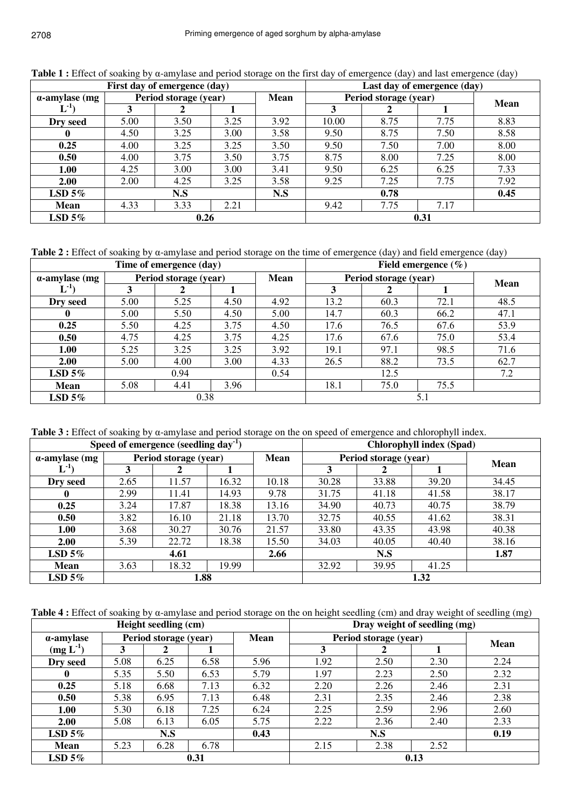|                       | First day of emergence (day) | Last day of emergence (day) |      |             |                       |      |      |             |
|-----------------------|------------------------------|-----------------------------|------|-------------|-----------------------|------|------|-------------|
| $\alpha$ -amylase (mg | Period storage (year)        |                             |      | <b>Mean</b> | Period storage (year) |      |      | <b>Mean</b> |
| $T^{-1}$              |                              |                             |      |             |                       |      |      |             |
| Dry seed              | 5.00                         | 3.50                        | 3.25 | 3.92        | 10.00                 | 8.75 | 7.75 | 8.83        |
|                       | 4.50                         | 3.25                        | 3.00 | 3.58        | 9.50                  | 8.75 | 7.50 | 8.58        |
| 0.25                  | 4.00                         | 3.25                        | 3.25 | 3.50        | 9.50                  | 7.50 | 7.00 | 8.00        |
| 0.50                  | 4.00                         | 3.75                        | 3.50 | 3.75        | 8.75                  | 8.00 | 7.25 | 8.00        |
| 1.00                  | 4.25                         | 3.00                        | 3.00 | 3.41        | 9.50                  | 6.25 | 6.25 | 7.33        |
| 2.00                  | 2.00                         | 4.25                        | 3.25 | 3.58        | 9.25                  | 7.25 | 7.75 | 7.92        |
| LSD $5\%$             |                              | N.S                         |      | N.S         |                       | 0.78 |      | 0.45        |
| <b>Mean</b>           | 4.33                         | 3.33                        | 2.21 |             | 9.42                  | 7.75 | 7.17 |             |
| LSD $5\%$             | 0.26                         |                             |      |             | 0.31                  |      |      |             |

**Table 1 :** Effect of soaking by α-amylase and period storage on the first day of emergence (day) and last emergence (day)

**Table 2 :** Effect of soaking by α-amylase and period storage on the time of emergence (day) and field emergence (day)

|                       | Time of emergence (day) | Field emergence $(\% )$ |      |                       |      |      |             |      |
|-----------------------|-------------------------|-------------------------|------|-----------------------|------|------|-------------|------|
| $\alpha$ -amylase (mg |                         | Period storage (year)   |      | Period storage (year) |      |      | <b>Mean</b> |      |
| $-1$                  |                         |                         |      |                       | 3    |      |             |      |
| Dry seed              | 5.00                    | 5.25                    | 4.50 | 4.92                  | 13.2 | 60.3 | 72.1        | 48.5 |
| $\mathbf{0}$          | 5.00                    | 5.50                    | 4.50 | 5.00                  | 14.7 | 60.3 | 66.2        | 47.1 |
| 0.25                  | 5.50                    | 4.25                    | 3.75 | 4.50                  | 17.6 | 76.5 | 67.6        | 53.9 |
| 0.50                  | 4.75                    | 4.25                    | 3.75 | 4.25                  | 17.6 | 67.6 | 75.0        | 53.4 |
| 1.00                  | 5.25                    | 3.25                    | 3.25 | 3.92                  | 19.1 | 97.1 | 98.5        | 71.6 |
| 2.00                  | 5.00                    | 4.00                    | 3.00 | 4.33                  | 26.5 | 88.2 | 73.5        | 62.7 |
| LSD $5\%$             | 0.94                    |                         |      | 0.54                  | 12.5 |      |             | 7.2  |
| <b>Mean</b>           | 5.08                    | 4.41                    | 3.96 |                       | 18.1 | 75.0 | 75.5        |      |
| LSD $5\%$             | 0.38                    |                         |      |                       |      |      |             |      |

**Table 3 :** Effect of soaking by α-amylase and period storage on the on speed of emergence and chlorophyll index.

|                       | Speed of emergence (seedling day <sup>-1</sup> ) | <b>Chlorophyll index (Spad)</b> |       |             |                       |       |       |             |
|-----------------------|--------------------------------------------------|---------------------------------|-------|-------------|-----------------------|-------|-------|-------------|
| $\alpha$ -amylase (mg | Period storage (year)                            |                                 |       | <b>Mean</b> | Period storage (year) |       |       | <b>Mean</b> |
| $\mathbf{L}^{4}$      | 3                                                |                                 |       |             | 3                     | 2     |       |             |
| Dry seed              | 2.65                                             | 11.57                           | 16.32 | 10.18       | 30.28                 | 33.88 | 39.20 | 34.45       |
|                       | 2.99                                             | 11.41                           | 14.93 | 9.78        | 31.75                 | 41.18 | 41.58 | 38.17       |
| 0.25                  | 3.24                                             | 17.87                           | 18.38 | 13.16       | 34.90                 | 40.73 | 40.75 | 38.79       |
| 0.50                  | 3.82                                             | 16.10                           | 21.18 | 13.70       | 32.75                 | 40.55 | 41.62 | 38.31       |
| 1.00                  | 3.68                                             | 30.27                           | 30.76 | 21.57       | 33.80                 | 43.35 | 43.98 | 40.38       |
| 2.00                  | 5.39                                             | 22.72                           | 18.38 | 15.50       | 34.03                 | 40.05 | 40.40 | 38.16       |
| LSD $5\%$             | 4.61                                             |                                 |       | 2.66        | N.S                   |       |       | 1.87        |
| <b>Mean</b>           | 3.63                                             | 18.32                           | 19.99 |             | 32.92                 | 39.95 | 41.25 |             |
| $LSD$ 5%              | 1.88                                             |                                 |       |             | 1.32                  |       |       |             |

**Table 4 :** Effect of soaking by α-amylase and period storage on the on height seedling (cm) and dray weight of seedling (mg)

|                   |      | Height seedling (cm)  |      | Dray weight of seedling (mg) |                       |             |      |      |
|-------------------|------|-----------------------|------|------------------------------|-----------------------|-------------|------|------|
| $\alpha$ -amylase |      | Period storage (year) |      | Mean                         | Period storage (year) | <b>Mean</b> |      |      |
| $(mg L-1)$        |      |                       |      |                              |                       |             |      |      |
| Dry seed          | 5.08 | 6.25                  | 6.58 | 5.96                         | 1.92                  | 2.50        | 2.30 | 2.24 |
| $\bf{0}$          | 5.35 | 5.50                  | 6.53 | 5.79                         | 1.97                  | 2.23        | 2.50 | 2.32 |
| 0.25              | 5.18 | 6.68                  | 7.13 | 6.32                         | 2.20                  | 2.26        | 2.46 | 2.31 |
| 0.50              | 5.38 | 6.95                  | 7.13 | 6.48                         | 2.31                  | 2.35        | 2.46 | 2.38 |
| 1.00              | 5.30 | 6.18                  | 7.25 | 6.24                         | 2.25                  | 2.59        | 2.96 | 2.60 |
| 2.00              | 5.08 | 6.13                  | 6.05 | 5.75                         | 2.22                  | 2.36        | 2.40 | 2.33 |
| LSD 5%            | N.S  |                       |      | 0.43                         | N.S                   |             |      | 0.19 |
| <b>Mean</b>       | 5.23 | 6.28                  | 6.78 |                              | 2.15                  | 2.38        | 2.52 |      |
| LSD $5\%$         | 0.31 |                       |      |                              | 0.13                  |             |      |      |